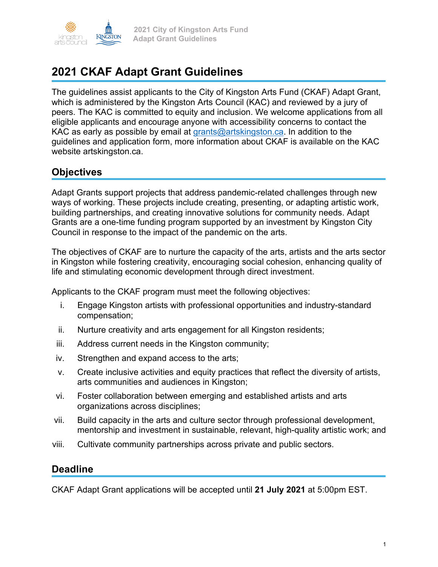

# **2021 CKAF Adapt Grant Guidelines**

The guidelines assist applicants to the City of Kingston Arts Fund (CKAF) Adapt Grant, which is administered by the Kingston Arts Council (KAC) and reviewed by a jury of peers. The KAC is committed to equity and inclusion. We welcome applications from all eligible applicants and encourage anyone with accessibility concerns to contact the KAC as early as possible by email at grants@artskingston.ca. In addition to the guidelines and application form, more information about CKAF is available on the KAC website artskingston.ca.

### **Objectives**

Adapt Grants support projects that address pandemic-related challenges through new ways of working. These projects include creating, presenting, or adapting artistic work, building partnerships, and creating innovative solutions for community needs. Adapt Grants are a one-time funding program supported by an investment by Kingston City Council in response to the impact of the pandemic on the arts.

The objectives of CKAF are to nurture the capacity of the arts, artists and the arts sector in Kingston while fostering creativity, encouraging social cohesion, enhancing quality of life and stimulating economic development through direct investment.

Applicants to the CKAF program must meet the following objectives:

- i. Engage Kingston artists with professional opportunities and industry-standard compensation;
- ii. Nurture creativity and arts engagement for all Kingston residents;
- iii. Address current needs in the Kingston community;
- iv. Strengthen and expand access to the arts;
- v. Create inclusive activities and equity practices that reflect the diversity of artists, arts communities and audiences in Kingston;
- vi. Foster collaboration between emerging and established artists and arts organizations across disciplines;
- vii. Build capacity in the arts and culture sector through professional development, mentorship and investment in sustainable, relevant, high-quality artistic work; and
- viii. Cultivate community partnerships across private and public sectors.

#### **Deadline**

CKAF Adapt Grant applications will be accepted until **21 July 2021** at 5:00pm EST.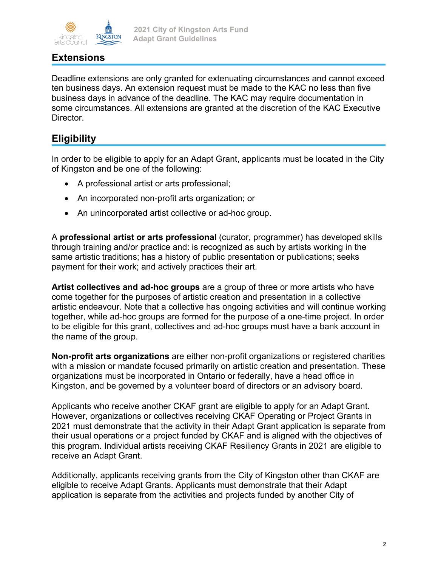

#### **Extensions**

Deadline extensions are only granted for extenuating circumstances and cannot exceed ten business days. An extension request must be made to the KAC no less than five business days in advance of the deadline. The KAC may require documentation in some circumstances. All extensions are granted at the discretion of the KAC Executive Director.

### **Eligibility**

In order to be eligible to apply for an Adapt Grant, applicants must be located in the City of Kingston and be one of the following:

- A professional artist or arts professional;
- An incorporated non-profit arts organization; or
- An unincorporated artist collective or ad-hoc group.

A **professional artist or arts professional** (curator, programmer) has developed skills through training and/or practice and: is recognized as such by artists working in the same artistic traditions; has a history of public presentation or publications; seeks payment for their work; and actively practices their art.

**Artist collectives and ad-hoc groups** are a group of three or more artists who have come together for the purposes of artistic creation and presentation in a collective artistic endeavour. Note that a collective has ongoing activities and will continue working together, while ad-hoc groups are formed for the purpose of a one-time project. In order to be eligible for this grant, collectives and ad-hoc groups must have a bank account in the name of the group.

**Non-profit arts organizations** are either non-profit organizations or registered charities with a mission or mandate focused primarily on artistic creation and presentation. These organizations must be incorporated in Ontario or federally, have a head office in Kingston, and be governed by a volunteer board of directors or an advisory board.

Applicants who receive another CKAF grant are eligible to apply for an Adapt Grant. However, organizations or collectives receiving CKAF Operating or Project Grants in 2021 must demonstrate that the activity in their Adapt Grant application is separate from their usual operations or a project funded by CKAF and is aligned with the objectives of this program. Individual artists receiving CKAF Resiliency Grants in 2021 are eligible to receive an Adapt Grant.

Additionally, applicants receiving grants from the City of Kingston other than CKAF are eligible to receive Adapt Grants. Applicants must demonstrate that their Adapt application is separate from the activities and projects funded by another City of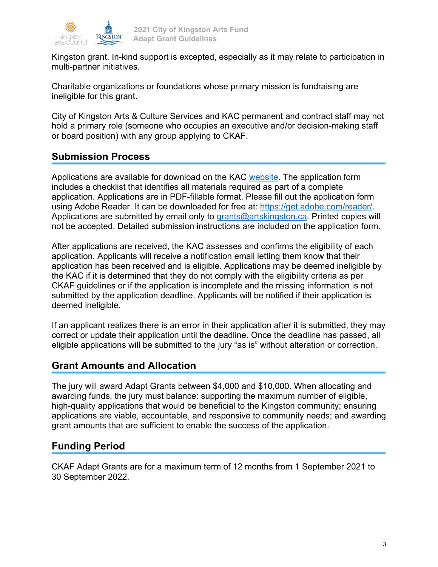

Kingston grant. In-kind support is excepted, especially as it may relate to participation in multi-partner initiatives.

Charitable organizations or foundations whose primary mission is fundraising are ineligible for this grant.

City of Kingston Arts & Culture Services and KAC permanent and contract staff may not hold a primary role (someone who occupies an executive and/or decision-making staff or board position) with any group applying to CKAF.

### **Submission Process**

Applications are available for download on the KAC website. The application form includes a checklist that identifies all materials required as part of a complete application. Applications are in PDF-fillable format. Please fill out the application form using Adobe Reader. It can be downloaded for free at: https://get.adobe.com/reader/. Applications are submitted by email only to grants@artskingston.ca. Printed copies will not be accepted. Detailed submission instructions are included on the application form.

After applications are received, the KAC assesses and confirms the eligibility of each application. Applicants will receive a notification email letting them know that their application has been received and is eligible. Applications may be deemed ineligible by the KAC if it is determined that they do not comply with the eligibility criteria as per CKAF guidelines or if the application is incomplete and the missing information is not submitted by the application deadline. Applicants will be notified if their application is deemed ineligible.

If an applicant realizes there is an error in their application after it is submitted, they may correct or update their application until the deadline. Once the deadline has passed, all eligible applications will be submitted to the jury "as is" without alteration or correction.

### **Grant Amounts and Allocation**

The jury will award Adapt Grants between \$4,000 and \$10,000. When allocating and awarding funds, the jury must balance: supporting the maximum number of eligible, high-quality applications that would be beneficial to the Kingston community; ensuring applications are viable, accountable, and responsive to community needs; and awarding grant amounts that are sufficient to enable the success of the application.

## **Funding Period**

CKAF Adapt Grants are for a maximum term of 12 months from 1 September 2021 to 30 September 2022.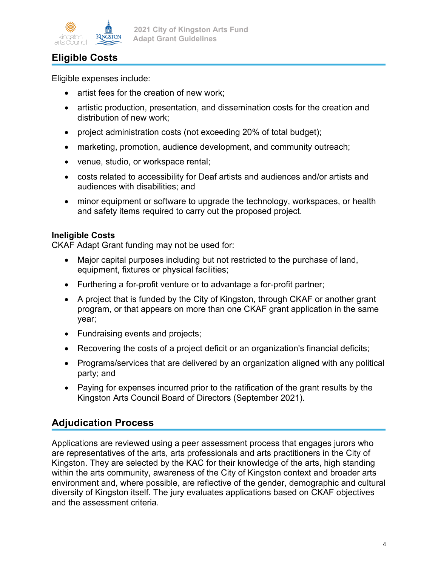

## **Eligible Costs**

Eligible expenses include:

- artist fees for the creation of new work;
- artistic production, presentation, and dissemination costs for the creation and distribution of new work;
- project administration costs (not exceeding 20% of total budget);
- marketing, promotion, audience development, and community outreach;
- venue, studio, or workspace rental;
- costs related to accessibility for Deaf artists and audiences and/or artists and audiences with disabilities; and
- minor equipment or software to upgrade the technology, workspaces, or health and safety items required to carry out the proposed project.

#### **Ineligible Costs**

CKAF Adapt Grant funding may not be used for:

- Major capital purposes including but not restricted to the purchase of land, equipment, fixtures or physical facilities;
- Furthering a for-profit venture or to advantage a for-profit partner;
- A project that is funded by the City of Kingston, through CKAF or another grant program, or that appears on more than one CKAF grant application in the same year;
- Fundraising events and projects;
- Recovering the costs of a project deficit or an organization's financial deficits;
- Programs/services that are delivered by an organization aligned with any political party; and
- Paying for expenses incurred prior to the ratification of the grant results by the Kingston Arts Council Board of Directors (September 2021).

## **Adjudication Process**

Applications are reviewed using a peer assessment process that engages jurors who are representatives of the arts, arts professionals and arts practitioners in the City of Kingston. They are selected by the KAC for their knowledge of the arts, high standing within the arts community, awareness of the City of Kingston context and broader arts environment and, where possible, are reflective of the gender, demographic and cultural diversity of Kingston itself. The jury evaluates applications based on CKAF objectives and the assessment criteria.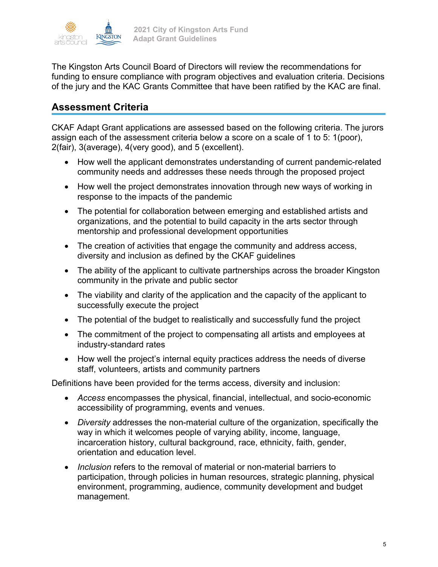

The Kingston Arts Council Board of Directors will review the recommendations for funding to ensure compliance with program objectives and evaluation criteria. Decisions of the jury and the KAC Grants Committee that have been ratified by the KAC are final.

### **Assessment Criteria**

CKAF Adapt Grant applications are assessed based on the following criteria. The jurors assign each of the assessment criteria below a score on a scale of 1 to 5: 1(poor), 2(fair), 3(average), 4(very good), and 5 (excellent).

- How well the applicant demonstrates understanding of current pandemic-related community needs and addresses these needs through the proposed project
- How well the project demonstrates innovation through new ways of working in response to the impacts of the pandemic
- The potential for collaboration between emerging and established artists and organizations, and the potential to build capacity in the arts sector through mentorship and professional development opportunities
- The creation of activities that engage the community and address access, diversity and inclusion as defined by the CKAF guidelines
- The ability of the applicant to cultivate partnerships across the broader Kingston community in the private and public sector
- The viability and clarity of the application and the capacity of the applicant to successfully execute the project
- The potential of the budget to realistically and successfully fund the project
- The commitment of the project to compensating all artists and employees at industry-standard rates
- How well the project's internal equity practices address the needs of diverse staff, volunteers, artists and community partners

Definitions have been provided for the terms access, diversity and inclusion:

- *Access* encompasses the physical, financial, intellectual, and socio-economic accessibility of programming, events and venues.
- *Diversity* addresses the non-material culture of the organization, specifically the way in which it welcomes people of varying ability, income, language, incarceration history, cultural background, race, ethnicity, faith, gender, orientation and education level.
- *Inclusion* refers to the removal of material or non-material barriers to participation, through policies in human resources, strategic planning, physical environment, programming, audience, community development and budget management.